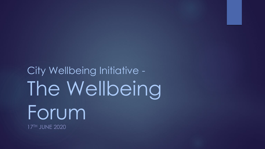City Wellbeing Initiative - The Wellbeing Forum 17TH JUNE 2020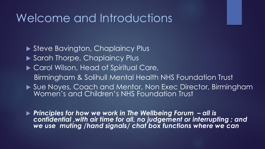#### Welcome and Introductions

Steve Bavington, Chaplaincy Plus ▶ Sarah Thorpe, Chaplaincy Plus ▶ Carol Wilson, Head of Spiritual Care, Birmingham & Solihull Mental Health NHS Foundation Trust ▶ Sue Noyes, Coach and Mentor, Non Exec Director, Birmingham Women's and Children's NHS Foundation Trust

 *Principles for how we work in The Wellbeing Forum – all is confidential ,with air time for all, no judgement or interrupting ; and we use muting /hand signals/ chat box functions where we can*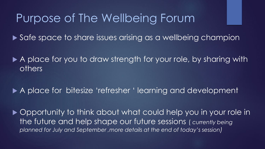#### Purpose of The Wellbeing Forum

▶ Safe space to share issues arising as a wellbeing champion

A place for you to draw strength for your role, by sharing with others

A place for bitesize 'refresher ' learning and development

▶ Opportunity to think about what could help you in your role in the future and help shape our future sessions ( *currently being planned for July and September ,more details at the end of today's session)*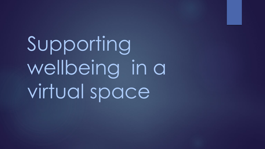Supporting wellbeing in a virtual space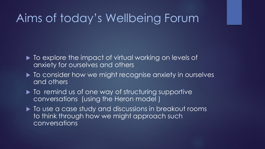### Aims of today's Wellbeing Forum

- $\blacktriangleright$  To explore the impact of virtual working on levels of anxiety for ourselves and others
- ▶ To consider how we might recognise anxiety in ourselves and others
- $\blacktriangleright$  To remind us of one way of structuring supportive conversations (using the Heron model )
- $\blacktriangleright$  To use a case study and discussions in breakout rooms to think through how we might approach such conversations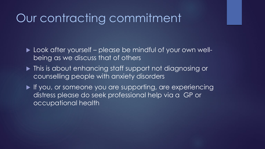#### Our contracting commitment

► Look after yourself – please be mindful of your own wellbeing as we discuss that of others

 $\blacktriangleright$  This is about enhancing staff support not diagnosing or counselling people with anxiety disorders

If you, or someone you are supporting, are experiencing distress please do seek professional help via a GP or occupational health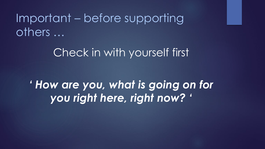## Important – before supporting others …

#### Check in with yourself first

*' How are you, what is going on for you right here, right now? '*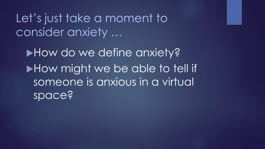Let's just take a moment to consider anxiety …

How do we define anxiety? How might we be able to tell if someone is anxious in a virtual space?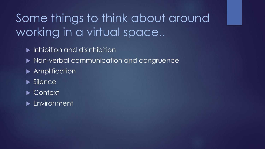# Some things to think about around working in a virtual space..

- Inhibition and disinhibition
- ▶ Non-verbal communication and congruence
- **Amplification**
- $\blacktriangleright$  Silence
- ▶ Context
- **Environment**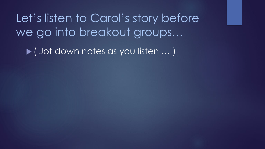Let's listen to Carol's story before we go into breakout groups…

▶ ( Jot down notes as you listen ... )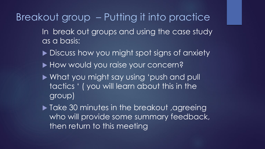Breakout group – Putting it into practice

- In break out groups and using the case study as a basis:
- Discuss how you might spot signs of anxiety
- ▶ How would you raise your concern?
- What you might say using 'push and pull tactics ' ( you will learn about this in the group)
- **Take 30 minutes in the breakout ,agreeing** who will provide some summary feedback, then return to this meeting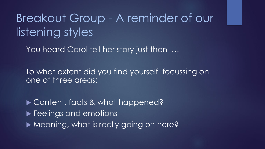Breakout Group - A reminder of our listening styles

You heard Carol tell her story just then  $\ldots$ 

To what extent did you find yourself focussing on one of three areas:

▶ Content, facts & what happened? **Feelings and emotions** ▶ Meaning, what is really going on here?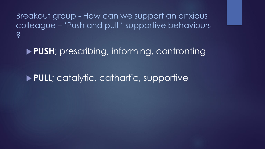Breakout group - How can we support an anxious colleague – 'Push and pull ' supportive behaviours ?

**PUSH**; prescribing, informing, confronting

**PULL**; catalytic, cathartic, supportive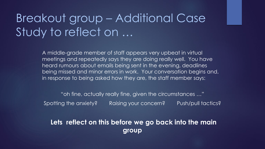## Breakout group – Additional Case Study to reflect on …

A middle-grade member of staff appears very upbeat in virtual meetings and repeatedly says they are doing really well. You have heard rumours about emails being sent in the evening, deadlines being missed and minor errors in work. Your conversation begins and, in response to being asked how they are, the staff member says:

"oh fine, actually really fine, given the circumstances …" Spotting the anxiety? Raising your concern? Push/pull tactics?

**Lets reflect on this before we go back into the main group**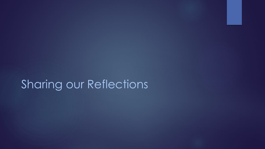## Sharing our Reflections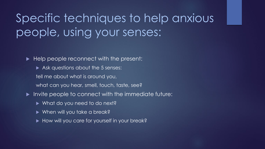# Specific techniques to help anxious people, using your senses:

Help people reconnect with the present:

- Ask questions about the 5 senses:
- tell me about what is around you,
- what can you hear, smell, touch, taste, see?
- Invite people to connect with the immediate future:
	- ▶ What do you need to do next?
	- ▶ When will you take a break?
	- How will you care for yourself in your break?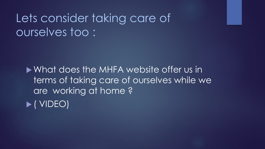## Lets consider taking care of ourselves too :

What does the MHFA website offer us in terms of taking care of ourselves while we are working at home ? ( VIDEO)